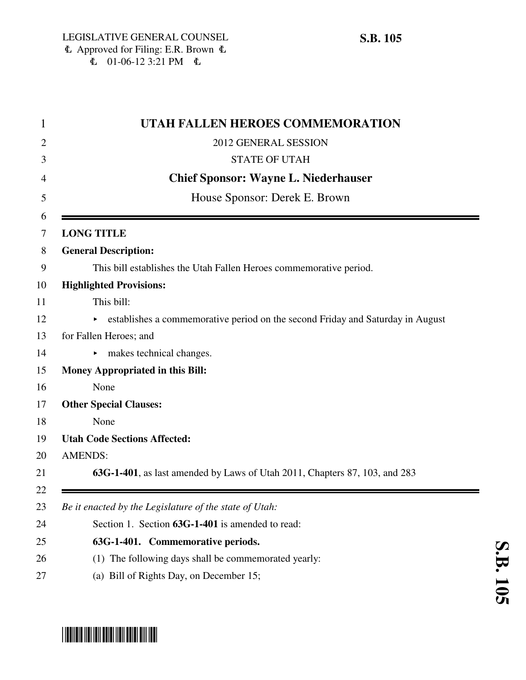|                | UTAH FALLEN HEROES COMMEMORATION                                               |
|----------------|--------------------------------------------------------------------------------|
|                | 2012 GENERAL SESSION                                                           |
|                | <b>STATE OF UTAH</b>                                                           |
|                | <b>Chief Sponsor: Wayne L. Niederhauser</b>                                    |
|                | House Sponsor: Derek E. Brown                                                  |
|                | <b>LONG TITLE</b>                                                              |
|                | <b>General Description:</b>                                                    |
|                | This bill establishes the Utah Fallen Heroes commemorative period.             |
|                | <b>Highlighted Provisions:</b>                                                 |
|                | This bill:                                                                     |
|                | establishes a commemorative period on the second Friday and Saturday in August |
|                | for Fallen Heroes; and                                                         |
|                | makes technical changes.<br>►                                                  |
|                | <b>Money Appropriated in this Bill:</b>                                        |
|                | None                                                                           |
|                | <b>Other Special Clauses:</b>                                                  |
|                | None                                                                           |
|                | <b>Utah Code Sections Affected:</b>                                            |
| <b>AMENDS:</b> |                                                                                |
|                | 63G-1-401, as last amended by Laws of Utah 2011, Chapters 87, 103, and 283     |
|                | Be it enacted by the Legislature of the state of Utah:                         |
|                | Section 1. Section 63G-1-401 is amended to read:                               |
|                | 63G-1-401. Commemorative periods.                                              |
|                | (1) The following days shall be commemorated yearly:                           |
|                | (a) Bill of Rights Day, on December 15;                                        |